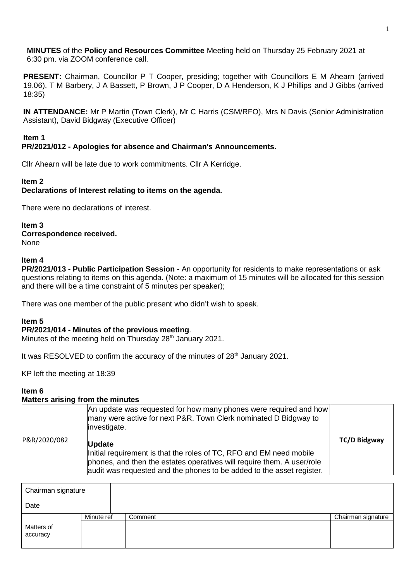**MINUTES** of the **Policy and Resources Committee** Meeting held on Thursday 25 February 2021 at 6:30 pm. via ZOOM conference call.

**PRESENT:** Chairman, Councillor P T Cooper, presiding; together with Councillors E M Ahearn (arrived 19.06), T M Barbery, J A Bassett, P Brown, J P Cooper, D A Henderson, K J Phillips and J Gibbs (arrived 18:35)

**IN ATTENDANCE:** Mr P Martin (Town Clerk), Mr C Harris (CSM/RFO), Mrs N Davis (Senior Administration Assistant), David Bidgway (Executive Officer)

### **Item 1**

## **PR/2021/012 - Apologies for absence and Chairman's Announcements.**

Cllr Ahearn will be late due to work commitments. Cllr A Kerridge.

#### **Item 2**

## **Declarations of Interest relating to items on the agenda.**

There were no declarations of interest.

**Item 3 Correspondence received.** None

#### **Item 4**

**PR/2021/013 - Public Participation Session -** An opportunity for residents to make representations or ask questions relating to items on this agenda. (Note: a maximum of 15 minutes will be allocated for this session and there will be a time constraint of 5 minutes per speaker);

There was one member of the public present who didn't wish to speak.

#### **Item 5**

#### **PR/2021/014 - Minutes of the previous meeting**.

Minutes of the meeting held on Thursday 28<sup>th</sup> January 2021.

It was RESOLVED to confirm the accuracy of the minutes of 28<sup>th</sup> January 2021.

KP left the meeting at 18:39

#### **Item 6**

#### **Matters arising from the minutes**

|              | An update was requested for how many phones were required and how<br>many were active for next P&R. Town Clerk nominated D Bidgway to<br>investigate.                                                                                   |                     |
|--------------|-----------------------------------------------------------------------------------------------------------------------------------------------------------------------------------------------------------------------------------------|---------------------|
| P&R/2020/082 | <b>Update</b><br>Initial requirement is that the roles of TC, RFO and EM need mobile<br>phones, and then the estates operatives will require them. A user/role<br>audit was requested and the phones to be added to the asset register. | <b>TC/D Bidgway</b> |

| Chairman signature     |            |         |                    |
|------------------------|------------|---------|--------------------|
| Date                   |            |         |                    |
| Matters of<br>accuracy | Minute ref | Comment | Chairman signature |
|                        |            |         |                    |
|                        |            |         |                    |
|                        |            |         |                    |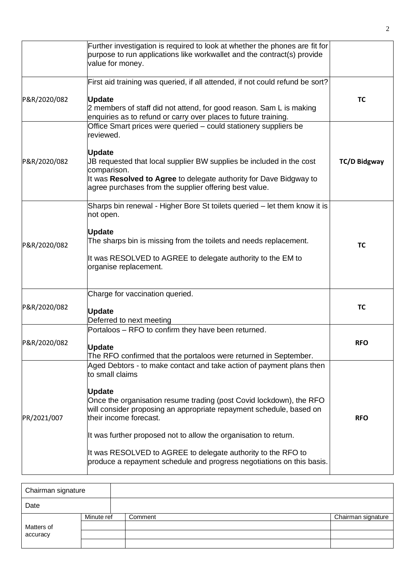|              | Further investigation is required to look at whether the phones are fit for<br>purpose to run applications like workwallet and the contract(s) provide<br>value for money.                                                                                                                                                                                                                                                                                                                    |                     |
|--------------|-----------------------------------------------------------------------------------------------------------------------------------------------------------------------------------------------------------------------------------------------------------------------------------------------------------------------------------------------------------------------------------------------------------------------------------------------------------------------------------------------|---------------------|
| P&R/2020/082 | First aid training was queried, if all attended, if not could refund be sort?<br><b>Update</b><br>2 members of staff did not attend, for good reason. Sam L is making<br>enquiries as to refund or carry over places to future training.                                                                                                                                                                                                                                                      | <b>TC</b>           |
| P&R/2020/082 | Office Smart prices were queried - could stationery suppliers be<br>reviewed.<br><b>Update</b><br>JB requested that local supplier BW supplies be included in the cost<br>comparison.<br>It was Resolved to Agree to delegate authority for Dave Bidgway to<br>agree purchases from the supplier offering best value.                                                                                                                                                                         | <b>TC/D Bidgway</b> |
| P&R/2020/082 | Sharps bin renewal - Higher Bore St toilets queried – let them know it is<br>not open.<br><b>Update</b><br>The sharps bin is missing from the toilets and needs replacement.<br>It was RESOLVED to AGREE to delegate authority to the EM to<br>organise replacement.                                                                                                                                                                                                                          | <b>TC</b>           |
| P&R/2020/082 | Charge for vaccination queried.<br><b>Update</b><br>Deferred to next meeting                                                                                                                                                                                                                                                                                                                                                                                                                  | <b>TC</b>           |
| P&R/2020/082 | Portaloos - RFO to confirm they have been returned.<br><b>Update</b><br>The RFO confirmed that the portaloos were returned in September.                                                                                                                                                                                                                                                                                                                                                      | <b>RFO</b>          |
| PR/2021/007  | Aged Debtors - to make contact and take action of payment plans then<br>to small claims<br><b>Update</b><br>Once the organisation resume trading (post Covid lockdown), the RFO<br>will consider proposing an appropriate repayment schedule, based on<br>their income forecast.<br>It was further proposed not to allow the organisation to return.<br>It was RESOLVED to AGREE to delegate authority to the RFO to<br>produce a repayment schedule and progress negotiations on this basis. | <b>RFO</b>          |

| Chairman signature     |            |         |                    |
|------------------------|------------|---------|--------------------|
| Date                   |            |         |                    |
| Matters of<br>accuracy | Minute ref | Comment | Chairman signature |
|                        |            |         |                    |
|                        |            |         |                    |
|                        |            |         |                    |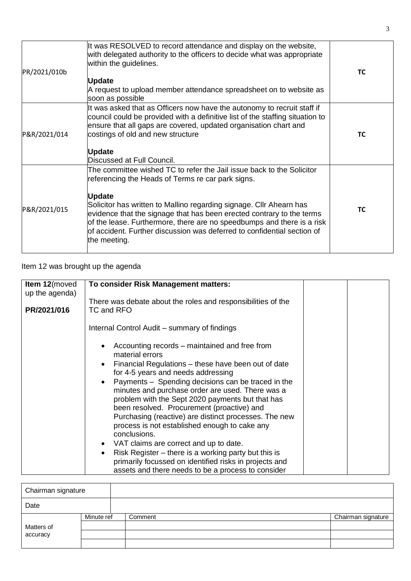| PR/2021/010b | It was RESOLVED to record attendance and display on the website,<br>with delegated authority to the officers to decide what was appropriate<br>within the guidelines.                                                                                                                                                                                                                                                                                            | ТC        |
|--------------|------------------------------------------------------------------------------------------------------------------------------------------------------------------------------------------------------------------------------------------------------------------------------------------------------------------------------------------------------------------------------------------------------------------------------------------------------------------|-----------|
|              | <b>Update</b>                                                                                                                                                                                                                                                                                                                                                                                                                                                    |           |
|              | A request to upload member attendance spreadsheet on to website as<br>soon as possible                                                                                                                                                                                                                                                                                                                                                                           |           |
| P&R/2021/014 | It was asked that as Officers now have the autonomy to recruit staff if<br>council could be provided with a definitive list of the staffing situation to<br>ensure that all gaps are covered, updated organisation chart and<br>costings of old and new structure<br><b>Update</b><br>Discussed at Full Council.                                                                                                                                                 | TC        |
| P&R/2021/015 | The committee wished TC to refer the Jail issue back to the Solicitor<br>referencing the Heads of Terms re car park signs.<br><b>Update</b><br>Solicitor has written to Mallino regarding signage. Cllr Ahearn has<br>evidence that the signage that has been erected contrary to the terms<br>of the lease. Furthermore, there are no speedbumps and there is a risk<br>of accident. Further discussion was deferred to confidential section of<br>the meeting. | <b>TC</b> |

# Item 12 was brought up the agenda

| <b>Item 12</b> (moved | To consider Risk Management matters:                                                                                     |  |
|-----------------------|--------------------------------------------------------------------------------------------------------------------------|--|
| up the agenda)        | There was debate about the roles and responsibilities of the                                                             |  |
| PR/2021/016           | TC and RFO                                                                                                               |  |
|                       | Internal Control Audit – summary of findings                                                                             |  |
|                       | Accounting records – maintained and free from<br>$\bullet$<br>material errors                                            |  |
|                       | Financial Regulations – these have been out of date<br>$\bullet$<br>for 4-5 years and needs addressing                   |  |
|                       | Payments - Spending decisions can be traced in the<br>$\bullet$<br>minutes and purchase order are used. There was a      |  |
|                       | problem with the Sept 2020 payments but that has<br>been resolved. Procurement (proactive) and                           |  |
|                       | Purchasing (reactive) are distinct processes. The new<br>process is not established enough to cake any                   |  |
|                       | conclusions.                                                                                                             |  |
|                       | VAT claims are correct and up to date.<br>$\bullet$<br>Risk Register – there is a working party but this is<br>$\bullet$ |  |
|                       | primarily focussed on identified risks in projects and                                                                   |  |
|                       | assets and there needs to be a process to consider                                                                       |  |

| Chairman signature     |            |         |                    |
|------------------------|------------|---------|--------------------|
| Date                   |            |         |                    |
| Matters of<br>accuracy | Minute ref | Comment | Chairman signature |
|                        |            |         |                    |
|                        |            |         |                    |
|                        |            |         |                    |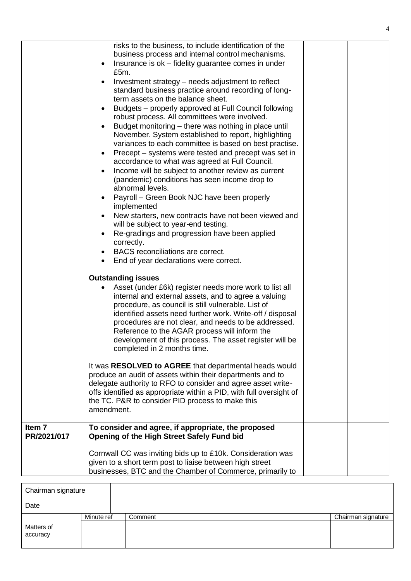|                                  | risks to the business, to include identification of the<br>business process and internal control mechanisms.<br>Insurance is ok - fidelity guarantee comes in under<br>$\bullet$<br>£5m.<br>Investment strategy – needs adjustment to reflect<br>standard business practice around recording of long-<br>term assets on the balance sheet.<br>Budgets - properly approved at Full Council following<br>$\bullet$<br>robust process. All committees were involved.<br>Budget monitoring – there was nothing in place until<br>$\bullet$<br>November. System established to report, highlighting<br>variances to each committee is based on best practise.<br>Precept – systems were tested and precept was set in<br>$\bullet$<br>accordance to what was agreed at Full Council.<br>Income will be subject to another review as current<br>$\bullet$<br>(pandemic) conditions has seen income drop to<br>abnormal levels.<br>Payroll - Green Book NJC have been properly<br>implemented<br>New starters, new contracts have not been viewed and<br>$\bullet$<br>will be subject to year-end testing.<br>Re-gradings and progression have been applied<br>correctly.<br>BACS reconciliations are correct.<br>End of year declarations were correct.<br>$\bullet$ |  |
|----------------------------------|----------------------------------------------------------------------------------------------------------------------------------------------------------------------------------------------------------------------------------------------------------------------------------------------------------------------------------------------------------------------------------------------------------------------------------------------------------------------------------------------------------------------------------------------------------------------------------------------------------------------------------------------------------------------------------------------------------------------------------------------------------------------------------------------------------------------------------------------------------------------------------------------------------------------------------------------------------------------------------------------------------------------------------------------------------------------------------------------------------------------------------------------------------------------------------------------------------------------------------------------------------------|--|
|                                  | <b>Outstanding issues</b><br>Asset (under £6k) register needs more work to list all<br>internal and external assets, and to agree a valuing<br>procedure, as council is still vulnerable. List of<br>identified assets need further work. Write-off / disposal<br>procedures are not clear, and needs to be addressed.<br>Reference to the AGAR process will inform the<br>development of this process. The asset register will be<br>completed in 2 months time.                                                                                                                                                                                                                                                                                                                                                                                                                                                                                                                                                                                                                                                                                                                                                                                              |  |
|                                  | It was RESOLVED to AGREE that departmental heads would<br>produce an audit of assets within their departments and to<br>delegate authority to RFO to consider and agree asset write-<br>offs identified as appropriate within a PID, with full oversight of<br>the TC. P&R to consider PID process to make this<br>amendment.                                                                                                                                                                                                                                                                                                                                                                                                                                                                                                                                                                                                                                                                                                                                                                                                                                                                                                                                  |  |
| Item <sub>7</sub><br>PR/2021/017 | To consider and agree, if appropriate, the proposed<br><b>Opening of the High Street Safely Fund bid</b>                                                                                                                                                                                                                                                                                                                                                                                                                                                                                                                                                                                                                                                                                                                                                                                                                                                                                                                                                                                                                                                                                                                                                       |  |
|                                  | Cornwall CC was inviting bids up to £10k. Consideration was<br>given to a short term post to liaise between high street<br>businesses, BTC and the Chamber of Commerce, primarily to                                                                                                                                                                                                                                                                                                                                                                                                                                                                                                                                                                                                                                                                                                                                                                                                                                                                                                                                                                                                                                                                           |  |

| Chairman signature |            |         |                    |
|--------------------|------------|---------|--------------------|
| Date               |            |         |                    |
|                    | Minute ref | Comment | Chairman signature |
| Matters of         |            |         |                    |
| accuracy           |            |         |                    |
|                    |            |         |                    |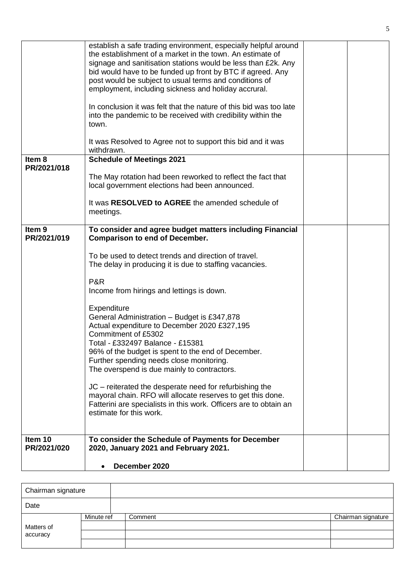|                                  | establish a safe trading environment, especially helpful around<br>the establishment of a market in the town. An estimate of<br>signage and sanitisation stations would be less than £2k. Any<br>bid would have to be funded up front by BTC if agreed. Any<br>post would be subject to usual terms and conditions of<br>employment, including sickness and holiday accrural.<br>In conclusion it was felt that the nature of this bid was too late<br>into the pandemic to be received with credibility within the<br>town.<br>It was Resolved to Agree not to support this bid and it was |  |
|----------------------------------|---------------------------------------------------------------------------------------------------------------------------------------------------------------------------------------------------------------------------------------------------------------------------------------------------------------------------------------------------------------------------------------------------------------------------------------------------------------------------------------------------------------------------------------------------------------------------------------------|--|
|                                  | withdrawn.                                                                                                                                                                                                                                                                                                                                                                                                                                                                                                                                                                                  |  |
| Item 8                           | <b>Schedule of Meetings 2021</b>                                                                                                                                                                                                                                                                                                                                                                                                                                                                                                                                                            |  |
| PR/2021/018                      | The May rotation had been reworked to reflect the fact that<br>local government elections had been announced.                                                                                                                                                                                                                                                                                                                                                                                                                                                                               |  |
|                                  | It was RESOLVED to AGREE the amended schedule of<br>meetings.                                                                                                                                                                                                                                                                                                                                                                                                                                                                                                                               |  |
| Item <sub>9</sub><br>PR/2021/019 | To consider and agree budget matters including Financial<br><b>Comparison to end of December.</b>                                                                                                                                                                                                                                                                                                                                                                                                                                                                                           |  |
|                                  | To be used to detect trends and direction of travel.<br>The delay in producing it is due to staffing vacancies.                                                                                                                                                                                                                                                                                                                                                                                                                                                                             |  |
|                                  | P&R<br>Income from hirings and lettings is down.                                                                                                                                                                                                                                                                                                                                                                                                                                                                                                                                            |  |
|                                  | Expenditure<br>General Administration - Budget is £347,878<br>Actual expenditure to December 2020 £327,195<br>Commitment of £5302<br>Total - £332497 Balance - £15381<br>96% of the budget is spent to the end of December.<br>Further spending needs close monitoring.<br>The overspend is due mainly to contractors.                                                                                                                                                                                                                                                                      |  |
|                                  | JC – reiterated the desperate need for refurbishing the<br>mayoral chain. RFO will allocate reserves to get this done.<br>Fatterini are specialists in this work. Officers are to obtain an<br>estimate for this work.                                                                                                                                                                                                                                                                                                                                                                      |  |
| Item 10<br>PR/2021/020           | To consider the Schedule of Payments for December<br>2020, January 2021 and February 2021.                                                                                                                                                                                                                                                                                                                                                                                                                                                                                                  |  |
|                                  | December 2020<br>٠                                                                                                                                                                                                                                                                                                                                                                                                                                                                                                                                                                          |  |

| Chairman signature |            |         |                    |
|--------------------|------------|---------|--------------------|
| Date               |            |         |                    |
|                    | Minute ref | Comment | Chairman signature |
| Matters of         |            |         |                    |
| accuracy           |            |         |                    |
|                    |            |         |                    |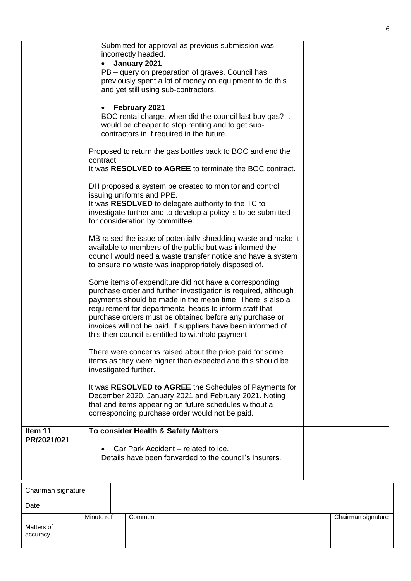|                    |                       | Submitted for approval as previous submission was<br>incorrectly headed.<br>January 2021                                                                                                                                                                                                                                                                                                                                           |  |
|--------------------|-----------------------|------------------------------------------------------------------------------------------------------------------------------------------------------------------------------------------------------------------------------------------------------------------------------------------------------------------------------------------------------------------------------------------------------------------------------------|--|
|                    |                       | PB – query on preparation of graves. Council has<br>previously spent a lot of money on equipment to do this<br>and yet still using sub-contractors.                                                                                                                                                                                                                                                                                |  |
|                    |                       | February 2021<br>BOC rental charge, when did the council last buy gas? It<br>would be cheaper to stop renting and to get sub-<br>contractors in if required in the future.                                                                                                                                                                                                                                                         |  |
|                    | contract.             | Proposed to return the gas bottles back to BOC and end the<br>It was RESOLVED to AGREE to terminate the BOC contract.                                                                                                                                                                                                                                                                                                              |  |
|                    |                       | DH proposed a system be created to monitor and control<br>issuing uniforms and PPE.<br>It was RESOLVED to delegate authority to the TC to<br>investigate further and to develop a policy is to be submitted<br>for consideration by committee.                                                                                                                                                                                     |  |
|                    |                       | MB raised the issue of potentially shredding waste and make it<br>available to members of the public but was informed the<br>council would need a waste transfer notice and have a system<br>to ensure no waste was inappropriately disposed of.                                                                                                                                                                                   |  |
|                    |                       | Some items of expenditure did not have a corresponding<br>purchase order and further investigation is required, although<br>payments should be made in the mean time. There is also a<br>requirement for departmental heads to inform staff that<br>purchase orders must be obtained before any purchase or<br>invoices will not be paid. If suppliers have been informed of<br>this then council is entitled to withhold payment. |  |
|                    | investigated further. | There were concerns raised about the price paid for some<br>items as they were higher than expected and this should be                                                                                                                                                                                                                                                                                                             |  |
|                    |                       | It was RESOLVED to AGREE the Schedules of Payments for<br>December 2020, January 2021 and February 2021. Noting<br>that and items appearing on future schedules without a<br>corresponding purchase order would not be paid.                                                                                                                                                                                                       |  |
| Item 11            |                       | To consider Health & Safety Matters                                                                                                                                                                                                                                                                                                                                                                                                |  |
| PR/2021/021        |                       | Car Park Accident – related to ice.<br>Details have been forwarded to the council's insurers.                                                                                                                                                                                                                                                                                                                                      |  |
| Chairman signature |                       |                                                                                                                                                                                                                                                                                                                                                                                                                                    |  |
|                    |                       |                                                                                                                                                                                                                                                                                                                                                                                                                                    |  |

| onamman organicum o    |            |         |                    |
|------------------------|------------|---------|--------------------|
| Date                   |            |         |                    |
| Matters of<br>accuracy | Minute ref | Comment | Chairman signature |
|                        |            |         |                    |
|                        |            |         |                    |
|                        |            |         |                    |